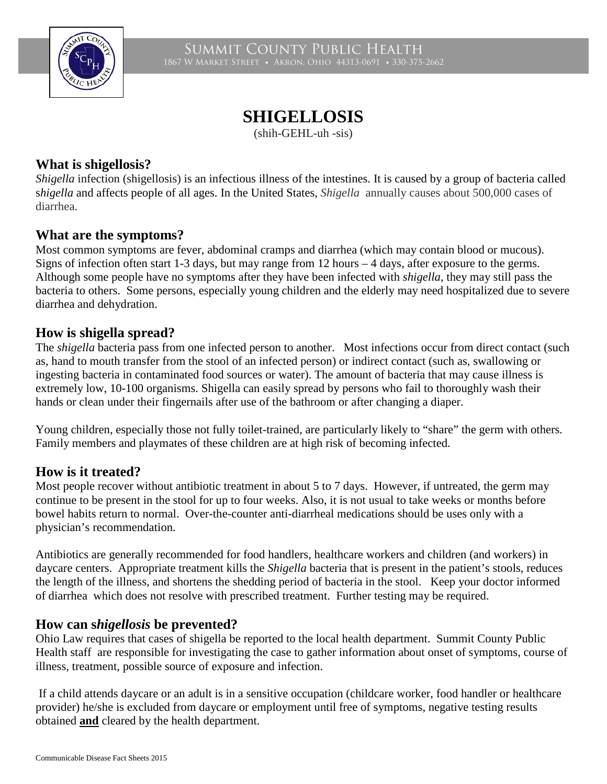

Summit County Public Health 1867 W Market Street • Akron, Ohio 44313-0691 • 330-375-2662

# **SHIGELLOSIS**

(shih-GEHL-uh -sis)

# **What is shigellosis?**

*Shigella* infection (shigellosis) is an infectious illness of the intestines. It is caused by a group of bacteria called s*higella* and affects people of all ages. In the United States, *Shigella* annually causes about 500,000 cases of diarrhea.

# **What are the symptoms?**

Most common symptoms are fever, abdominal cramps and diarrhea (which may contain blood or mucous). Signs of infection often start 1-3 days, but may range from 12 hours – 4 days, after exposure to the germs. Although some people have no symptoms after they have been infected with *shigella*, they may still pass the bacteria to others. Some persons, especially young children and the elderly may need hospitalized due to severe diarrhea and dehydration.

# **How is shigella spread?**

The *shigella* bacteria pass from one infected person to another. Most infections occur from direct contact (such as, hand to mouth transfer from the stool of an infected person) or indirect contact (such as, swallowing or ingesting bacteria in contaminated food sources or water). The amount of bacteria that may cause illness is extremely low, 10-100 organisms. Shigella can easily spread by persons who fail to thoroughly wash their hands or clean under their fingernails after use of the bathroom or after changing a diaper.

Young children, especially those not fully toilet-trained, are particularly likely to "share" the germ with others*.*  Family members and playmates of these children are at high risk of becoming infected.

# **How is it treated?**

Most people recover without antibiotic treatment in about 5 to 7 days. However, if untreated, the germ may continue to be present in the stool for up to four weeks. Also, it is not usual to take weeks or months before bowel habits return to normal. Over-the-counter anti-diarrheal medications should be uses only with a physician's recommendation.

Antibiotics are generally recommended for food handlers, healthcare workers and children (and workers) in daycare centers. Appropriate treatment kills the *Shigella* bacteria that is present in the patient's stools, reduces the length of the illness, and shortens the shedding period of bacteria in the stool. Keep your doctor informed of diarrhea which does not resolve with prescribed treatment. Further testing may be required.

### **How can s***higellosis* **be prevented?**

Ohio Law requires that cases of shigella be reported to the local health department. Summit County Public Health staff are responsible for investigating the case to gather information about onset of symptoms, course of illness, treatment, possible source of exposure and infection.

If a child attends daycare or an adult is in a sensitive occupation (childcare worker, food handler or healthcare provider) he/she is excluded from daycare or employment until free of symptoms, negative testing results obtained **and** cleared by the health department.